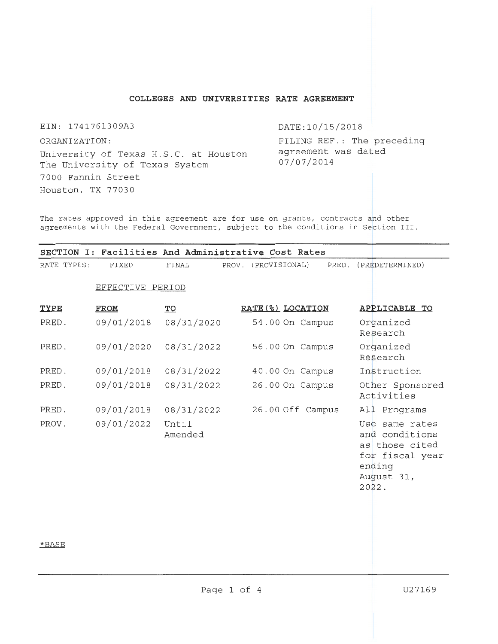# **COLLEGES AND UNIVERSITIES RATE AGREEMENT**

EIN: 1741761309A3

DATE:10/15/2018

ORGANIZATION: University of Texas H.S.C. at Houston The University of Texas System 7000 Fannin Street Houston, TX 77030

FILING REF.: The preceding agreement was dated 07/07/2014

The rates approved in this agreement are for use on grants, contracts and other agreements with the Federal Government, subject to the conditions in Section III.

|             |                  |                  | SECTION I: Facilities And Administrative Cost Rates |                                                                                                        |
|-------------|------------------|------------------|-----------------------------------------------------|--------------------------------------------------------------------------------------------------------|
| RATE TYPES: | FIXED            | FINAL            | PRED.<br>(PROVISIONAL)<br>PROV.                     | (PREDETERMINED)                                                                                        |
|             | EFFECTIVE PERIOD |                  |                                                     |                                                                                                        |
| TYPE        | <b>FROM</b>      | TO               | RATE (%) LOCATION                                   | APPLICABLE TO                                                                                          |
| PRED.       | 09/01/2018       | 08/31/2020       | 54.00 On Campus                                     | Organized<br>Research                                                                                  |
| PRED.       | 09/01/2020       | 08/31/2022       | 56.00 On Campus                                     | Organized<br>Research                                                                                  |
| PRED.       | 09/01/2018       | 08/31/2022       | 40.00 On Campus                                     | Instruction                                                                                            |
| PRED.       | 09/01/2018       | 08/31/2022       | 26.00 On Campus                                     | Other Sponsored<br>Activities                                                                          |
| PRED.       | 09/01/2018       | 08/31/2022       | 26.00 Off Campus                                    | All Programs                                                                                           |
| PROV.       | 09/01/2022       | Until<br>Amended |                                                     | Use same rates<br>and conditions<br>as those cited<br>for fiscal year<br>ending<br>August 31,<br>2022. |

## \*BASE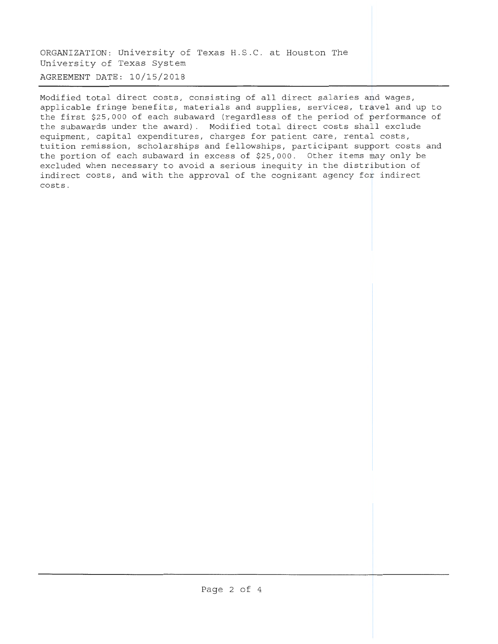ORGANIZATION: University of Texas H.S.C. at Houston The University of Texas System AGREEMENT DATE: 10/15/2018

Modified total direct costs, consisting of all direct salaries and wages, applicable fringe benefits, materials and supplies, services, travel and up to the first \$25,000 of each subaward (regardless of the period of performance of the subawards under the award). Modified total direct costs shall exclude equipment, capital expenditures, charges for patient care, rental costs, tuition remission, scholarships and fellowships, participant support costs and the portion of each subaward in excess of \$25,000. Other items may only be excluded when necessary to avoid a serious inequity in the distribution of indirect costs, and with the approval of the cognizant agency for indirect costs .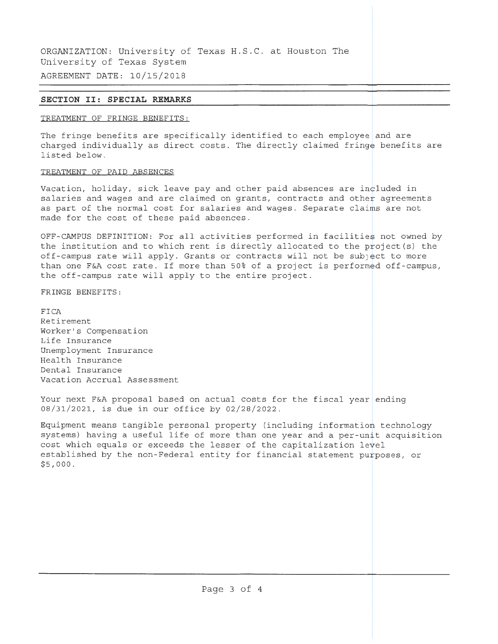ORGANIZATION: University of Texas H.S.C. at Houston The University of Texas System AGREEMENT DATE: 10/15/2018

## **SECTION** II: **SPECIAL REMARKS**

### TREATMENT OF FRINGE BENEFITS:

The fringe benefits are specifically identified to each employee and are charged individually as direct costs. The directly claimed fringe benefits are listed below.

## TREATMENT OF PAID ABSENCES

Vacation, holiday, sick leave pay and other paid absences are included in salaries and wages and are claimed on grants, contracts and other agreements as part of the normal cost for salaries and wages. Separate claims are not made for the cost of these paid absences .

OFF-CAMPUS DEFINITION: For all activities performed in facilities not owned by the institution and to which rent is directly allocated to the project(s) the off-campus rate will apply. Grants or contracts will not be subject to more than one F&A cost rate. If more than 50% of a project is performed off-campus, the off-campus rate will apply to the entire project.

FRINGE BENEFITS:

FICA Retirement Worker's Compensation Life Insurance Unemployment Insurance Health Insurance Dental Insurance Vacat ion Accrual Assessment

Your next F&A proposal based on actual costs for the fiscal year ending 08/31/2021, is due in our office by 02/28/2022.

Equipment means tangible personal property (including information technology systems) having a useful life of more than one year and a per-unit acquisition cost which equals or exceeds the lesser of the capitalization level established by the non-Federal entity for financial statement purposes, or \$5,000.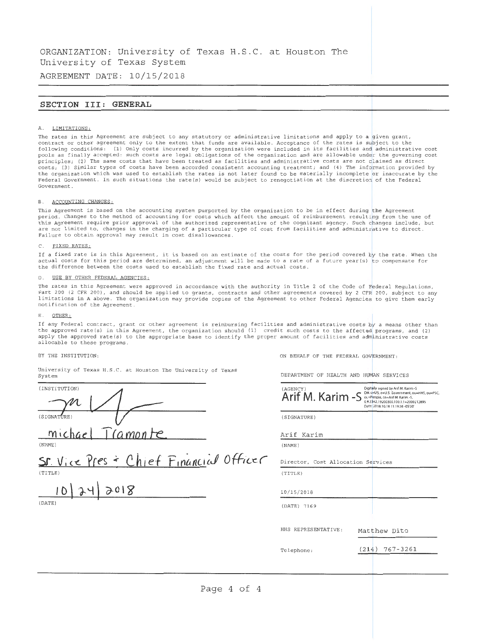ORGANIZATION: University of Texas H. S.C . at Houston The University of Texas System

AGREEMENT DATE: 10/15/2018

### **SECTION** III: **GENERAL**

#### A. LIMITATIONS:

The rates in this Agreement are subject to any statutory or administrative limitations and apply to a given grant,<br>contract or other agreement only to the extent that funds are available. Acceptance of the rates is subject following conditions: (1) Only costs incurred by the organization were included in its facilities and administrative cost pools as finally accepted: such costs are legal obligations of the organization and are allowable under the governing cost principles; (2) The same costs that have been treated as facilities and administrative costs are not claimed as direct costs; (3) Similar types of costs have been accorded consistent accounting treatment; and (4) The information provided by the organization which was used to establish the rates is not later found to be materially incomplete or inaccurate by the Federal Government. In such situations the rate(s) would be subject to renegotiation at the discretion of the Federal Government.

#### B. ACCOUNTING CHANGES:

This Agreement is based on the accounting system purported by the organization to be in effect during the Agreement period. Changes to the method of accounting for costs which affect the amount of reimbursement resulting from the use of this Agreement require prior approval of the authorized representative of the cognizant agency. Such changes include, but are not limited to, changes in the charging of a particular type of cost from facilities and administrative to direct. Failure to obtain approval may result in cost disallowances.

#### C. FIXED RATES:

If a fixed rate is in this Agreement, it is based on an estimate of the costs for the period covered  $_{\text{by}}$  the rate. When the actual costs for this period are determined, an adjustment will be made to a rate of a future year(s) to compensate for the difference between the costs used to establish the fixed rate and actual costs .

#### D. USE BY OTHER FEDERAL AGENCIES:

The rates in this Agreement were approved in accordance with the authority in Title 2 of the Code of Federal Regulations, Part 200 (2 CFR 200), and should be applied to grants, contracts and other agreements covered by 2 CPR 200, subject to any limitations in A above. The organization may provide copies of the Agreement to other Federal Agencies to give them early notification of the Agreement.

#### E. OTHER:

If any Federal contract, grant or other agreement is reimbursing facilities and administrative costs by a means other than the approved rate(s) in this Agreement, the organization should (1) credit such costs to the affected programs, and (2) apply the approved rate(s) to the appropriate base to identify the proper amount of facilities and administrative costs allocable to these programs.

#### BY THE INSTITUTION,

ON BEHALF OF THE FEDERAL GOVERNMENT:

University of Texas H. S.C. at Houston The University of Texas System

(INSTITUTION)  ${\mathcal{M}}$  $(SIGNAT(IRE))$ michael *Tramonte* 

(NAME)

Chief Financial Officer  $ST$  Vice  $Yres$ (TITLE)

 $10$  $2018$ 

DEPARTMENT OF HEALTH AND HUMAN SERVICES

| (AGENCY)<br>Arif M. Karim -S       | Digitally signed by Arif M. Karim -S<br>Du: c=U S, o=U.S. Government, ou=HHS, ou=PSC,<br>ot=People, cn=Arif M. Karim -S,<br>012342.19200300.100.1.1=2000212895<br>Dite: 20-18.10.18 11:19:36 -05'00" |
|------------------------------------|------------------------------------------------------------------------------------------------------------------------------------------------------------------------------------------------------|
| (SIGNATURE)                        |                                                                                                                                                                                                      |
| Arif Karim                         |                                                                                                                                                                                                      |
| (NAME)                             |                                                                                                                                                                                                      |
| Director, Cost Allocation Services |                                                                                                                                                                                                      |
| (TITLE)                            |                                                                                                                                                                                                      |
| 10/15/2018                         |                                                                                                                                                                                                      |
| (DATE) 7169                        |                                                                                                                                                                                                      |
| HHS REPRESENTATIVE:                | Matthew Dito                                                                                                                                                                                         |
| Telephone:                         | 767-3261<br>(214)                                                                                                                                                                                    |